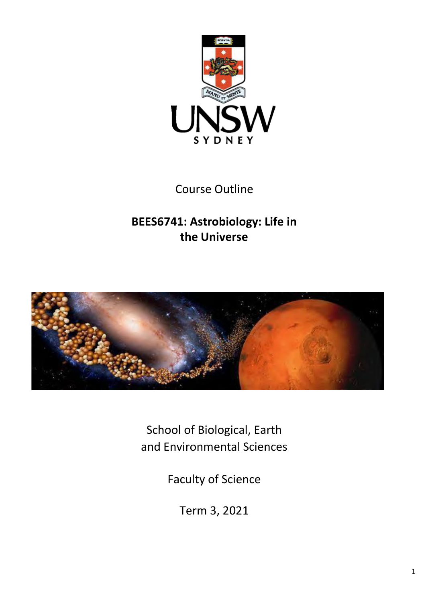

Course Outline

**BEES6741: Astrobiology: Life in the Universe**



School of Biological, Earth and Environmental Sciences

Faculty of Science

Term 3, 2021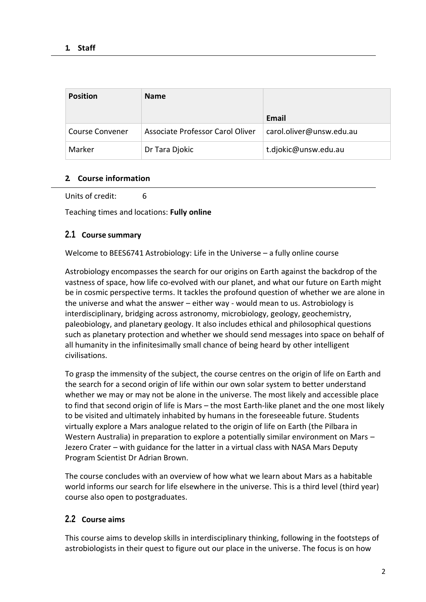| <b>Position</b>        | <b>Name</b>                      |                          |
|------------------------|----------------------------------|--------------------------|
|                        |                                  | Email                    |
| <b>Course Convener</b> | Associate Professor Carol Oliver | carol.oliver@unsw.edu.au |
| Marker                 | Dr Tara Djokic                   | t.djokic@unsw.edu.au     |

### **2. Course information**

Units of credit: 6

Teaching times and locations: **Fully online**

## **2.1 Course summary**

Welcome to BEES6741 Astrobiology: Life in the Universe – a fully online course

Astrobiology encompasses the search for our origins on Earth against the backdrop of the vastness of space, how life co-evolved with our planet, and what our future on Earth might be in cosmic perspective terms. It tackles the profound question of whether we are alone in the universe and what the answer – either way - would mean to us. Astrobiology is interdisciplinary, bridging across astronomy, microbiology, geology, geochemistry, paleobiology, and planetary geology. It also includes ethical and philosophical questions such as planetary protection and whether we should send messages into space on behalf of all humanity in the infinitesimally small chance of being heard by other intelligent civilisations.

To grasp the immensity of the subject, the course centres on the origin of life on Earth and the search for a second origin of life within our own solar system to better understand whether we may or may not be alone in the universe. The most likely and accessible place to find that second origin of life is Mars – the most Earth-like planet and the one most likely to be visited and ultimately inhabited by humans in the foreseeable future. Students virtually explore a Mars analogue related to the origin of life on Earth (the Pilbara in Western Australia) in preparation to explore a potentially similar environment on Mars – Jezero Crater – with guidance for the latter in a virtual class with NASA Mars Deputy Program Scientist Dr Adrian Brown.

The course concludes with an overview of how what we learn about Mars as a habitable world informs our search for life elsewhere in the universe. This is a third level (third year) course also open to postgraduates.

## **2.2 Course aims**

This course aims to develop skills in interdisciplinary thinking, following in the footsteps of astrobiologists in their quest to figure out our place in the universe. The focus is on how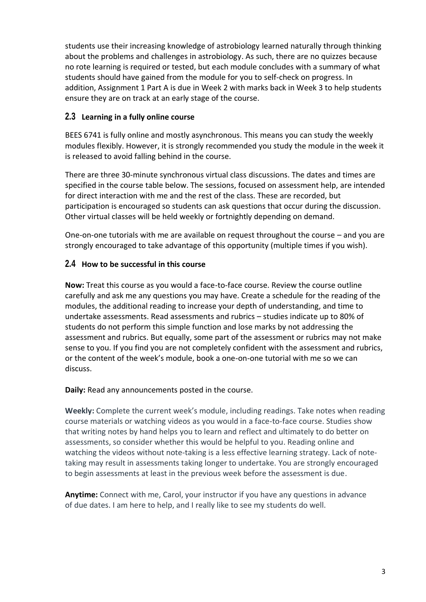students use their increasing knowledge of astrobiology learned naturally through thinking about the problems and challenges in astrobiology. As such, there are no quizzes because no rote learning is required or tested, but each module concludes with a summary of what students should have gained from the module for you to self-check on progress. In addition, Assignment 1 Part A is due in Week 2 with marks back in Week 3 to help students ensure they are on track at an early stage of the course.

## **2.3 Learning in a fully online course**

BEES 6741 is fully online and mostly asynchronous. This means you can study the weekly modules flexibly. However, it is strongly recommended you study the module in the week it is released to avoid falling behind in the course.

There are three 30-minute synchronous virtual class discussions. The dates and times are specified in the course table below. The sessions, focused on assessment help, are intended for direct interaction with me and the rest of the class. These are recorded, but participation is encouraged so students can ask questions that occur during the discussion. Other virtual classes will be held weekly or fortnightly depending on demand.

One-on-one tutorials with me are available on request throughout the course – and you are strongly encouraged to take advantage of this opportunity (multiple times if you wish).

# **2.4 How to be successful in this course**

**Now:** Treat this course as you would a face-to-face course. Review the course outline carefully and ask me any questions you may have. Create a schedule for the reading of the modules, the additional reading to increase your depth of understanding, and time to undertake assessments. Read assessments and rubrics – studies indicate up to 80% of students do not perform this simple function and lose marks by not addressing the assessment and rubrics. But equally, some part of the assessment or rubrics may not make sense to you. If you find you are not completely confident with the assessment and rubrics, or the content of the week's module, book a one-on-one tutorial with me so we can discuss.

**Daily:** Read any announcements posted in the course.

**Weekly:** Complete the current week's module, including readings. Take notes when reading course materials or watching videos as you would in a face-to-face course. Studies show that writing notes by hand helps you to learn and reflect and ultimately to do better on assessments, so consider whether this would be helpful to you. Reading online and watching the videos without note-taking is a less effective learning strategy. Lack of notetaking may result in assessments taking longer to undertake. You are strongly encouraged to begin assessments at least in the previous week before the assessment is due.

**Anytime:** Connect with me, Carol, your instructor if you have any questions in advance of due dates. I am here to help, and I really like to see my students do well.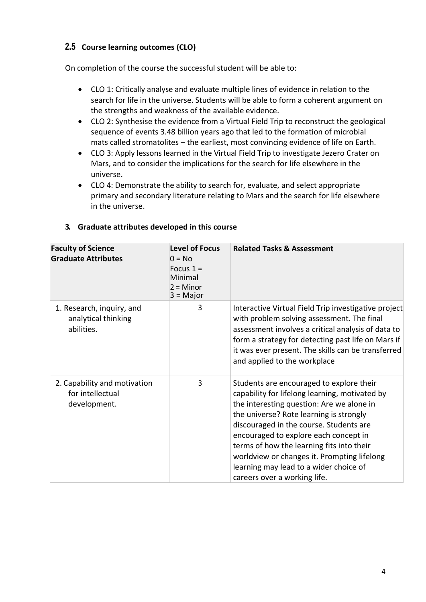# **2.5 Course learning outcomes (CLO)**

On completion of the course the successful student will be able to:

- CLO 1: Critically analyse and evaluate multiple lines of evidence in relation to the search for life in the universe. Students will be able to form a coherent argument on the strengths and weakness of the available evidence.
- CLO 2: Synthesise the evidence from a Virtual Field Trip to reconstruct the geological sequence of events 3.48 billion years ago that led to the formation of microbial mats called stromatolites – the earliest, most convincing evidence of life on Earth.
- CLO 3: Apply lessons learned in the Virtual Field Trip to investigate Jezero Crater on Mars, and to consider the implications for the search for life elsewhere in the universe.
- CLO 4: Demonstrate the ability to search for, evaluate, and select appropriate primary and secondary literature relating to Mars and the search for life elsewhere in the universe.

| <b>Faculty of Science</b><br><b>Graduate Attributes</b>          | <b>Level of Focus</b><br>$0 = No$<br>Focus $1 =$<br>Minimal<br>$2 =$ Minor<br>$3 = Major$ | <b>Related Tasks &amp; Assessment</b>                                                                                                                                                                                                                                                                                                                                                                                                        |
|------------------------------------------------------------------|-------------------------------------------------------------------------------------------|----------------------------------------------------------------------------------------------------------------------------------------------------------------------------------------------------------------------------------------------------------------------------------------------------------------------------------------------------------------------------------------------------------------------------------------------|
| 1. Research, inquiry, and<br>analytical thinking<br>abilities.   | 3                                                                                         | Interactive Virtual Field Trip investigative project<br>with problem solving assessment. The final<br>assessment involves a critical analysis of data to<br>form a strategy for detecting past life on Mars if<br>it was ever present. The skills can be transferred<br>and applied to the workplace                                                                                                                                         |
| 2. Capability and motivation<br>for intellectual<br>development. | 3                                                                                         | Students are encouraged to explore their<br>capability for lifelong learning, motivated by<br>the interesting question: Are we alone in<br>the universe? Rote learning is strongly<br>discouraged in the course. Students are<br>encouraged to explore each concept in<br>terms of how the learning fits into their<br>worldview or changes it. Prompting lifelong<br>learning may lead to a wider choice of<br>careers over a working life. |

### **3. Graduate attributes developed in this course**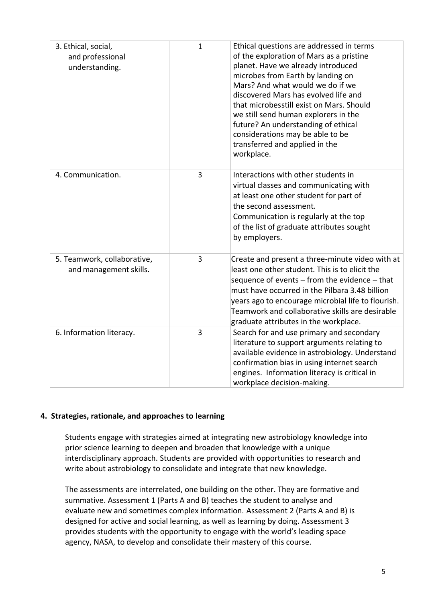| 3. Ethical, social,<br>and professional<br>understanding. | $\mathbf{1}$ | Ethical questions are addressed in terms<br>of the exploration of Mars as a pristine<br>planet. Have we already introduced<br>microbes from Earth by landing on<br>Mars? And what would we do if we<br>discovered Mars has evolved life and<br>that microbesstill exist on Mars. Should<br>we still send human explorers in the<br>future? An understanding of ethical<br>considerations may be able to be<br>transferred and applied in the<br>workplace. |
|-----------------------------------------------------------|--------------|------------------------------------------------------------------------------------------------------------------------------------------------------------------------------------------------------------------------------------------------------------------------------------------------------------------------------------------------------------------------------------------------------------------------------------------------------------|
| 4. Communication.                                         | 3            | Interactions with other students in<br>virtual classes and communicating with<br>at least one other student for part of<br>the second assessment.<br>Communication is regularly at the top<br>of the list of graduate attributes sought<br>by employers.                                                                                                                                                                                                   |
| 5. Teamwork, collaborative,<br>and management skills.     | 3            | Create and present a three-minute video with at<br>least one other student. This is to elicit the<br>sequence of events $-$ from the evidence $-$ that<br>must have occurred in the Pilbara 3.48 billion<br>years ago to encourage microbial life to flourish.<br>Teamwork and collaborative skills are desirable<br>graduate attributes in the workplace.                                                                                                 |
| 6. Information literacy.                                  | 3            | Search for and use primary and secondary<br>literature to support arguments relating to<br>available evidence in astrobiology. Understand<br>confirmation bias in using internet search<br>engines. Information literacy is critical in<br>workplace decision-making.                                                                                                                                                                                      |

#### **4. Strategies, rationale, and approaches to learning**

Students engage with strategies aimed at integrating new astrobiology knowledge into prior science learning to deepen and broaden that knowledge with a unique interdisciplinary approach. Students are provided with opportunities to research and write about astrobiology to consolidate and integrate that new knowledge.

The assessments are interrelated, one building on the other. They are formative and summative. Assessment 1 (Parts A and B) teaches the student to analyse and evaluate new and sometimes complex information. Assessment 2 (Parts A and B) is designed for active and social learning, as well as learning by doing. Assessment 3 provides students with the opportunity to engage with the world's leading space agency, NASA, to develop and consolidate their mastery of this course.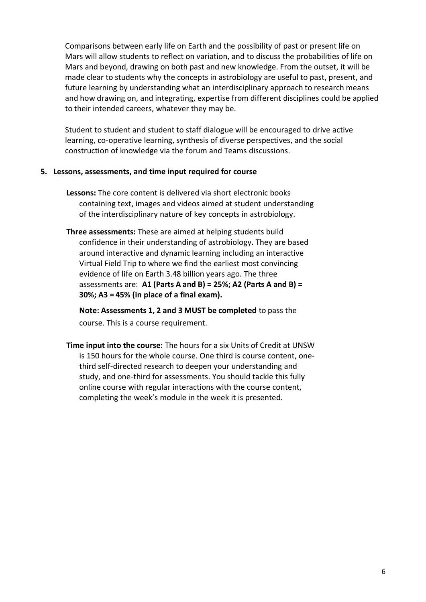Comparisons between early life on Earth and the possibility of past or present life on Mars will allow students to reflect on variation, and to discuss the probabilities of life on Mars and beyond, drawing on both past and new knowledge. From the outset, it will be made clear to students why the concepts in astrobiology are useful to past, present, and future learning by understanding what an interdisciplinary approach to research means and how drawing on, and integrating, expertise from different disciplines could be applied to their intended careers, whatever they may be.

Student to student and student to staff dialogue will be encouraged to drive active learning, co-operative learning, synthesis of diverse perspectives, and the social construction of knowledge via the forum and Teams discussions.

#### **5. Lessons, assessments, and time input required for course**

- **Lessons:** The core content is delivered via short electronic books containing text, images and videos aimed at student understanding of the interdisciplinary nature of key concepts in astrobiology.
- **Three assessments:** These are aimed at helping students build confidence in their understanding of astrobiology. They are based around interactive and dynamic learning including an interactive Virtual Field Trip to where we find the earliest most convincing evidence of life on Earth 3.48 billion years ago. The three assessments are: **A1 (Parts A and B) = 25%; A2 (Parts A and B) = 30%; A3 = 45% (in place of a final exam).**

**Note: Assessments 1, 2 and 3 MUST be completed** to pass the course. This is a course requirement.

**Time input into the course:** The hours for a six Units of Credit at UNSW is 150 hours for the whole course. One third is course content, onethird self-directed research to deepen your understanding and study, and one-third for assessments. You should tackle this fully online course with regular interactions with the course content, completing the week's module in the week it is presented.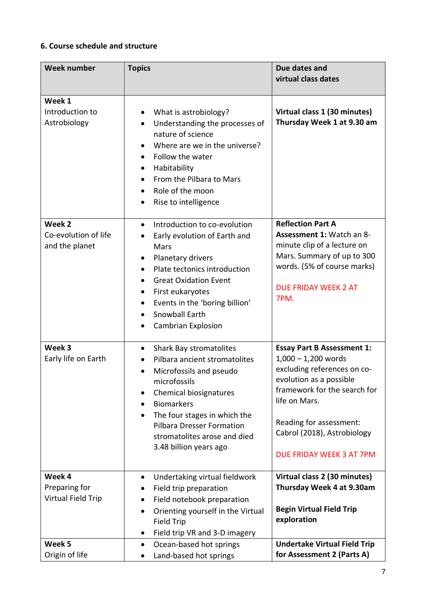# **6. Course schedule and structure**

| <b>Week number</b>                                   | <b>Topics</b>                                                                                                                                                                                                                                                                                                                                     | Due dates and<br>virtual class dates                                                                                                                                                                                                                        |
|------------------------------------------------------|---------------------------------------------------------------------------------------------------------------------------------------------------------------------------------------------------------------------------------------------------------------------------------------------------------------------------------------------------|-------------------------------------------------------------------------------------------------------------------------------------------------------------------------------------------------------------------------------------------------------------|
| Week 1<br>Introduction to<br>Astrobiology            | What is astrobiology?<br>Understanding the processes of<br>$\bullet$<br>nature of science<br>Where are we in the universe?<br>Follow the water<br>$\bullet$<br>Habitability<br>From the Pilbara to Mars<br>Role of the moon<br>$\bullet$<br>Rise to intelligence<br>$\bullet$                                                                     | Virtual class 1 (30 minutes)<br>Thursday Week 1 at 9.30 am                                                                                                                                                                                                  |
| Week 2<br>Co-evolution of life<br>and the planet     | Introduction to co-evolution<br>$\bullet$<br>Early evolution of Earth and<br>Mars<br>Planetary drivers<br>٠<br>Plate tectonics introduction<br><b>Great Oxidation Event</b><br>$\bullet$<br>First eukaryotes<br>٠<br>Events in the 'boring billion'<br>$\bullet$<br>Snowball Earth<br>$\bullet$<br><b>Cambrian Explosion</b>                      | <b>Reflection Part A</b><br>Assessment 1: Watch an 8-<br>minute clip of a lecture on<br>Mars. Summary of up to 300<br>words. (5% of course marks)<br><b>DUE FRIDAY WEEK 2 AT</b><br>7PM.                                                                    |
| Week 3<br>Early life on Earth                        | Shark Bay stromatolites<br>$\bullet$<br>Pilbara ancient stromatolites<br>$\bullet$<br>Microfossils and pseudo<br>$\bullet$<br>microfossils<br>Chemical biosignatures<br><b>Biomarkers</b><br>$\bullet$<br>The four stages in which the<br>$\bullet$<br><b>Pilbara Dresser Formation</b><br>stromatolites arose and died<br>3.48 billion years ago | <b>Essay Part B Assessment 1:</b><br>$1,000 - 1,200$ words<br>excluding references on co-<br>evolution as a possible<br>framework for the search for<br>life on Mars.<br>Reading for assessment:<br>Cabrol (2018), Astrobiology<br>DUE FRIDAY WEEK 3 AT 7PM |
| Week 4<br>Preparing for<br><b>Virtual Field Trip</b> | Undertaking virtual fieldwork<br>$\bullet$<br>Field trip preparation<br>Field notebook preparation<br>Orienting yourself in the Virtual<br>Field Trip<br>Field trip VR and 3-D imagery<br>$\bullet$                                                                                                                                               | Virtual class 2 (30 minutes)<br>Thursday Week 4 at 9.30am<br><b>Begin Virtual Field Trip</b><br>exploration                                                                                                                                                 |
| Week 5<br>Origin of life                             | Ocean-based hot springs<br>٠<br>Land-based hot springs                                                                                                                                                                                                                                                                                            | <b>Undertake Virtual Field Trip</b><br>for Assessment 2 (Parts A)                                                                                                                                                                                           |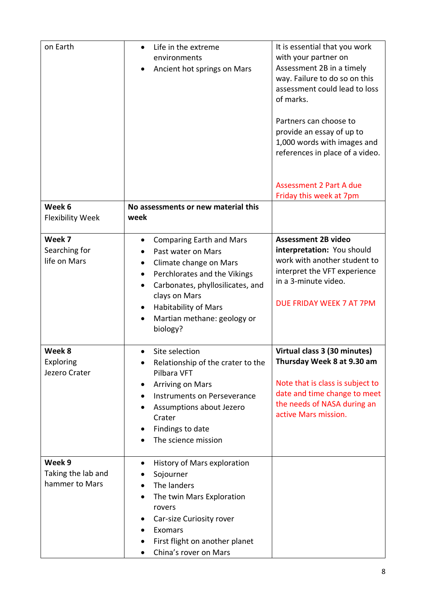| on Earth                   | Life in the extreme                                     | It is essential that you work    |
|----------------------------|---------------------------------------------------------|----------------------------------|
|                            | environments                                            | with your partner on             |
|                            | Ancient hot springs on Mars                             | Assessment 2B in a timely        |
|                            |                                                         | way. Failure to do so on this    |
|                            |                                                         | assessment could lead to loss    |
|                            |                                                         | of marks.                        |
|                            |                                                         |                                  |
|                            |                                                         | Partners can choose to           |
|                            |                                                         | provide an essay of up to        |
|                            |                                                         | 1,000 words with images and      |
|                            |                                                         | references in place of a video.  |
|                            |                                                         |                                  |
|                            |                                                         | <b>Assessment 2 Part A due</b>   |
|                            |                                                         | Friday this week at 7pm          |
| Week 6                     | No assessments or new material this                     |                                  |
| <b>Flexibility Week</b>    | week                                                    |                                  |
|                            |                                                         |                                  |
| Week 7                     | <b>Comparing Earth and Mars</b><br>$\bullet$            | <b>Assessment 2B video</b>       |
| Searching for              | Past water on Mars                                      | interpretation: You should       |
| life on Mars               | Climate change on Mars                                  | work with another student to     |
|                            | Perchlorates and the Vikings                            | interpret the VFT experience     |
|                            | Carbonates, phyllosilicates, and<br>$\bullet$           | in a 3-minute video.             |
|                            | clays on Mars                                           |                                  |
|                            | <b>Habitability of Mars</b>                             | DUE FRIDAY WEEK 7 AT 7PM         |
|                            |                                                         |                                  |
|                            |                                                         |                                  |
|                            | Martian methane: geology or                             |                                  |
|                            | biology?                                                |                                  |
| Week 8                     |                                                         |                                  |
|                            | Site selection                                          | Virtual class 3 (30 minutes)     |
| Exploring<br>Jezero Crater | Relationship of the crater to the<br>Pilbara VFT        | Thursday Week 8 at 9.30 am       |
|                            | <b>Arriving on Mars</b>                                 | Note that is class is subject to |
|                            | Instruments on Perseverance                             | date and time change to meet     |
|                            |                                                         | the needs of NASA during an      |
|                            | Assumptions about Jezero<br>Crater                      | active Mars mission.             |
|                            |                                                         |                                  |
|                            | Findings to date                                        |                                  |
|                            | The science mission                                     |                                  |
| Week 9                     | History of Mars exploration<br>$\bullet$                |                                  |
| Taking the lab and         | Sojourner                                               |                                  |
| hammer to Mars             | The landers                                             |                                  |
|                            |                                                         |                                  |
|                            | The twin Mars Exploration<br>rovers                     |                                  |
|                            |                                                         |                                  |
|                            | Car-size Curiosity rover<br>Exomars                     |                                  |
|                            |                                                         |                                  |
|                            | First flight on another planet<br>China's rover on Mars |                                  |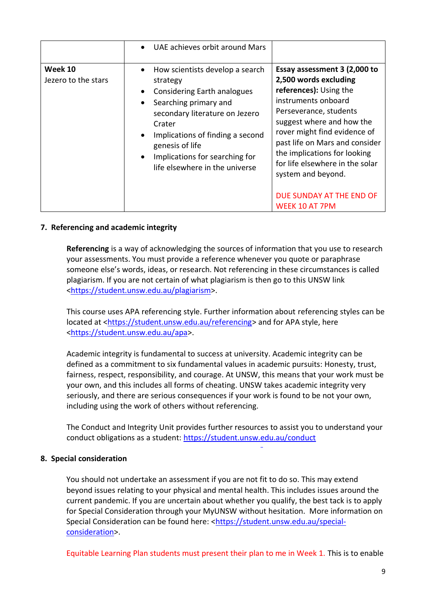|                                | UAE achieves orbit around Mars                                                                                                                                                                                                                                                          |                                                                                                                                                                                                                                                                                                                                                                        |
|--------------------------------|-----------------------------------------------------------------------------------------------------------------------------------------------------------------------------------------------------------------------------------------------------------------------------------------|------------------------------------------------------------------------------------------------------------------------------------------------------------------------------------------------------------------------------------------------------------------------------------------------------------------------------------------------------------------------|
| Week 10<br>Jezero to the stars | How scientists develop a search<br>$\bullet$<br>strategy<br>Considering Earth analogues<br>Searching primary and<br>secondary literature on Jezero<br>Crater<br>Implications of finding a second<br>genesis of life<br>Implications for searching for<br>life elsewhere in the universe | Essay assessment 3 (2,000 to<br>2,500 words excluding<br>references): Using the<br>instruments onboard<br>Perseverance, students<br>suggest where and how the<br>rover might find evidence of<br>past life on Mars and consider<br>the implications for looking<br>for life elsewhere in the solar<br>system and beyond.<br>DUE SUNDAY AT THE END OF<br>WEEK 10 AT 7PM |

### **7. Referencing and academic integrity**

**Referencing** is a way of acknowledging the sources of information that you use to research your assessments. You must provide a reference whenever you quote or paraphrase someone else's words, ideas, or research. Not referencing in these circumstances is called plagiarism. If you are not certain of what plagiarism is then go to this UNSW link [<https://student.unsw.edu.au/plagiarism>](https://student.unsw.edu.au/plagiarism).

This course uses APA referencing style. Further information about referencing styles can be located at [<https://student.unsw.edu.au/referencing>](https://student.unsw.edu.au/referencing) and for APA style, here [<https://student.unsw.edu.au/apa>](https://student.unsw.edu.au/apa).

Academic integrity is fundamental to success at university. Academic integrity can be defined as a commitment to six fundamental values in academic pursuits: Honesty, trust, fairness, respect, responsibility, and courage. At UNSW, this means that your work must be your own, and this includes all forms of cheating. UNSW takes academic integrity very seriously, and there are serious consequences if your work is found to be not your own, including using the work of others without referencing.

The Conduct and Integrity Unit provides further resources to assist you to understand your conduct obligations as a student:<https://student.unsw.edu.au/conduct>

#### **8. Special consideration**

You should not undertake an assessment if you are not fit to do so. This may extend beyond issues relating to your physical and mental health. This includes issues around the current pandemic. If you are uncertain about whether you qualify, the best tack is to apply for Special Consideration through your MyUNSW without hesitation. More information on Special Consideration can be found here: [<https://student.unsw.edu.au/special](https://student.unsw.edu.au/special-consideration)[consideration>](https://student.unsw.edu.au/special-consideration).

Equitable Learning Plan students must present their plan to me in Week 1. This is to enable